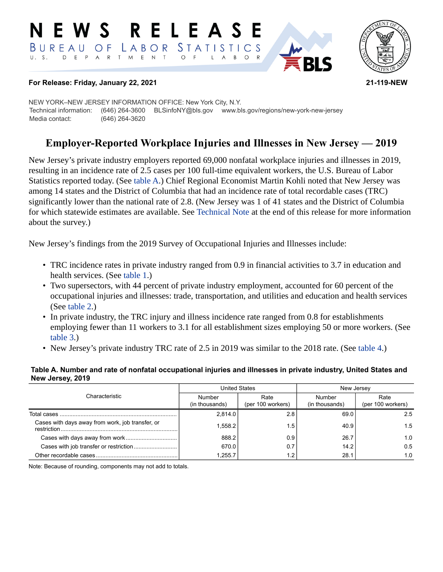#### **RELEASE** E W S *STATISTICS*  $B$  U R E A U O F LABOR D E P A R T M E N T  $U. S.$  $\circ$  $B$  $\circ$  $\overline{A}$



### **For Release: Friday, January 22, 2021 21-119-NEW**

NEW YORK–NEW JERSEY INFORMATION OFFICE: New York City, N.Y. Technical information: (646) 264-3600 BLSinfoNY@bls.gov www.bls.gov/regions/new-york-new-jersey Media contact: (646) 264-3620

# **Employer-Reported Workplace Injuries and Illnesses in New Jersey — 2019**

New Jersey's private industry employers reported 69,000 nonfatal workplace injuries and illnesses in 2019, resulting in an incidence rate of 2.5 cases per 100 full-time equivalent workers, the U.S. Bureau of Labor Statistics reported today. (See [table A](#page-0-0).) Chief Regional Economist Martin Kohli noted that New Jersey was among 14 states and the District of Columbia that had an incidence rate of total recordable cases (TRC) significantly lower than the national rate of 2.8. (New Jersey was 1 of 41 states and the District of Columbia for which statewide estimates are available. See [Technical Note](#page-2-0) at the end of this release for more information about the survey.)

New Jersey's findings from the 2019 Survey of Occupational Injuries and Illnesses include:

- TRC incidence rates in private industry ranged from 0.9 in financial activities to 3.7 in education and health services. (See [table 1](#page-4-0).)
- Two supersectors, with 44 percent of private industry employment, accounted for 60 percent of the occupational injuries and illnesses: trade, transportation, and utilities and education and health services (See [table 2](#page-5-0).)
- In private industry, the TRC injury and illness incidence rate ranged from 0.8 for establishments employing fewer than 11 workers to 3.1 for all establishment sizes employing 50 or more workers. (See [table 3.](#page-6-0))
- New Jersey's private industry TRC rate of 2.5 in 2019 was similar to the 2018 rate. (See [table 4.](#page-7-0))

#### <span id="page-0-0"></span>**Table A. Number and rate of nonfatal occupational injuries and illnesses in private industry, United States and New Jersey, 2019**

| Characteristic                                   |                          | <b>United States</b>      | New Jersey               |                           |  |
|--------------------------------------------------|--------------------------|---------------------------|--------------------------|---------------------------|--|
|                                                  | Number<br>(in thousands) | Rate<br>(per 100 workers) | Number<br>(in thousands) | Rate<br>(per 100 workers) |  |
| Total cases                                      | 2,814.0                  | 2.8                       | 69.0                     | 2.5                       |  |
| Cases with days away from work, job transfer, or | 1.558.2                  | 1.5'                      | 40.9                     | 1.5                       |  |
|                                                  | 888.2                    | 0.9                       | 26.7                     | 1.0                       |  |
|                                                  | 670.0                    | 0.7                       | 14.2                     | 0.5                       |  |
|                                                  | 1.255.7                  | 1.2                       | 28.1                     | 1.0                       |  |

Note: Because of rounding, components may not add to totals.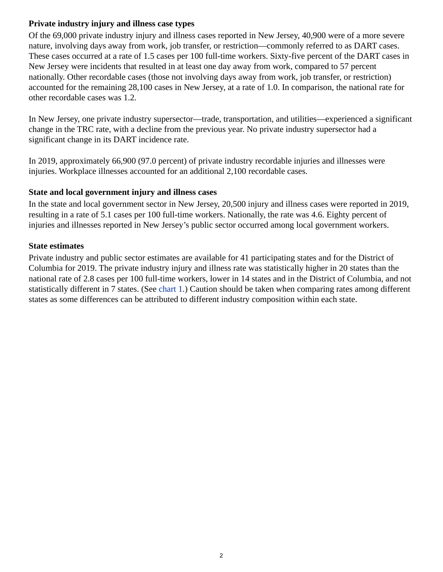## **Private industry injury and illness case types**

Of the 69,000 private industry injury and illness cases reported in New Jersey, 40,900 were of a more severe nature, involving days away from work, job transfer, or restriction—commonly referred to as DART cases. These cases occurred at a rate of 1.5 cases per 100 full-time workers. Sixty-five percent of the DART cases in New Jersey were incidents that resulted in at least one day away from work, compared to 57 percent nationally. Other recordable cases (those not involving days away from work, job transfer, or restriction) accounted for the remaining 28,100 cases in New Jersey, at a rate of 1.0. In comparison, the national rate for other recordable cases was 1.2.

In New Jersey, one private industry supersector—trade, transportation, and utilities—experienced a significant change in the TRC rate, with a decline from the previous year. No private industry supersector had a significant change in its DART incidence rate.

In 2019, approximately 66,900 (97.0 percent) of private industry recordable injuries and illnesses were injuries. Workplace illnesses accounted for an additional 2,100 recordable cases.

### **State and local government injury and illness cases**

In the state and local government sector in New Jersey, 20,500 injury and illness cases were reported in 2019, resulting in a rate of 5.1 cases per 100 full-time workers. Nationally, the rate was 4.6. Eighty percent of injuries and illnesses reported in New Jersey's public sector occurred among local government workers.

### **State estimates**

Private industry and public sector estimates are available for 41 participating states and for the District of Columbia for 2019. The private industry injury and illness rate was statistically higher in 20 states than the national rate of 2.8 cases per 100 full-time workers, lower in 14 states and in the District of Columbia, and not statistically different in 7 states. (See [chart 1](#page-2-1).) Caution should be taken when comparing rates among different states as some differences can be attributed to different industry composition within each state.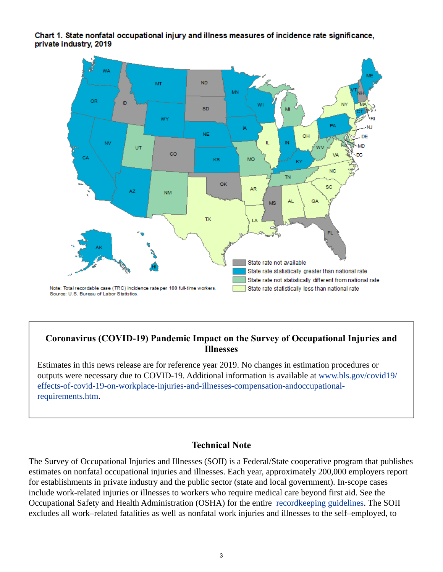### <span id="page-2-1"></span>Chart 1. State nonfatal occupational injury and illness measures of incidence rate significance, private industry, 2019



## **Coronavirus (COVID-19) Pandemic Impact on the Survey of Occupational Injuries and Illnesses**

Estimates in this news release are for reference year 2019. No changes in estimation procedures or outputs were necessary due to COVID-19. Additional information is available at [www.bls.gov/covid19/](https://www.bls.gov/covid19/effects-of-covid-19-on-workplace-injuries-and-illnesses-compensation-and-occupational-requirements.htm) [effects-of-covid-19-on-workplace-injuries-and-illnesses-compensation-andoccupational](https://www.bls.gov/covid19/effects-of-covid-19-on-workplace-injuries-and-illnesses-compensation-and-occupational-requirements.htm)[requirements.htm.](https://www.bls.gov/covid19/effects-of-covid-19-on-workplace-injuries-and-illnesses-compensation-and-occupational-requirements.htm)

### **Technical Note**

<span id="page-2-0"></span>The Survey of Occupational Injuries and Illnesses (SOII) is a Federal/State cooperative program that publishes estimates on nonfatal occupational injuries and illnesses. Each year, approximately 200,000 employers report for establishments in private industry and the public sector (state and local government). In-scope cases include work-related injuries or illnesses to workers who require medical care beyond first aid. See the Occupational Safety and Health Administration (OSHA) for the entire [recordkeeping guidelines.](https://www.osha.gov/recordkeeping/entryfaq.html) The SOII excludes all work–related fatalities as well as nonfatal work injuries and illnesses to the self–employed, to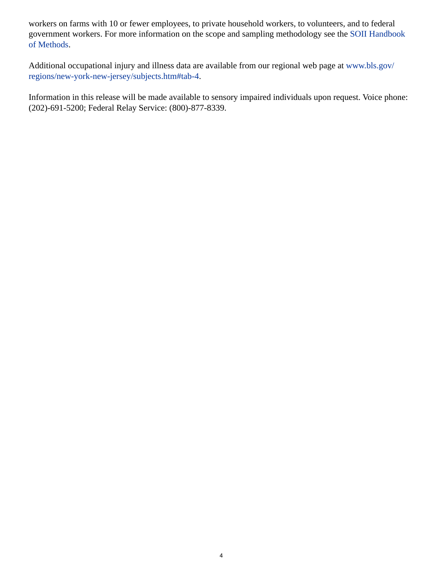workers on farms with 10 or fewer employees, to private household workers, to volunteers, and to federal government workers. For more information on the scope and sampling methodology see the [SOII Handbook](https://www.bls.gov/opub/hom/soii/home.htm) [of Methods.](https://www.bls.gov/opub/hom/soii/home.htm)

Additional occupational injury and illness data are available from our regional web page at [www.bls.gov/](https://www.bls.gov/regions/new-york-new-jersey/subjects.htm#tab-4) [regions/new-york-new-jersey/subjects.htm#tab-4](https://www.bls.gov/regions/new-york-new-jersey/subjects.htm#tab-4).

Information in this release will be made available to sensory impaired individuals upon request. Voice phone: (202)-691-5200; Federal Relay Service: (800)-877-8339.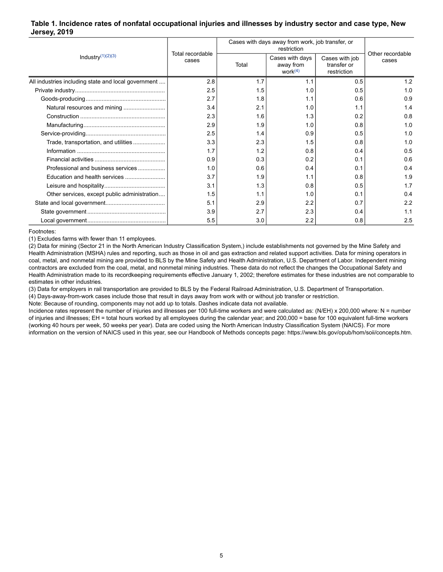### <span id="page-4-0"></span>**Table 1. Incidence rates of nonfatal occupational injuries and illnesses by industry sector and case type, New Jersey, 2019**

| Industry $(1)(2)(3)$                                | Total recordable |       | Cases with days away from work, job transfer, or<br>restriction |                                              |                           |  |  |
|-----------------------------------------------------|------------------|-------|-----------------------------------------------------------------|----------------------------------------------|---------------------------|--|--|
|                                                     | cases            | Total | Cases with days<br>away from<br>work $(4)$                      | Cases with job<br>transfer or<br>restriction | Other recordable<br>cases |  |  |
| All industries including state and local government | 2.8              | 1.7   | 1.1                                                             | 0.5                                          | 1.2                       |  |  |
|                                                     | 2.5              | 1.5   | 1.0                                                             | 0.5                                          | 1.0                       |  |  |
|                                                     | 2.7              | 1.8   | 1.1                                                             | 0.6                                          | 0.9                       |  |  |
|                                                     | 3.4              | 2.1   | 1.0                                                             | 1.1                                          | 1.4                       |  |  |
|                                                     | 2.3              | 1.6   | 1.3                                                             | 0.2                                          | 0.8                       |  |  |
|                                                     | 2.9              | 1.9   | 1.0                                                             | 0.8                                          | 1.0                       |  |  |
|                                                     | 2.5              | 1.4   | 0.9                                                             | 0.5                                          | 1.0                       |  |  |
| Trade, transportation, and utilities                | 3.3              | 2.3   | 1.5                                                             | 0.8                                          | 1.0                       |  |  |
|                                                     | 1.7              | 1.2   | 0.8                                                             | 0.4                                          | 0.5                       |  |  |
|                                                     | 0.9              | 0.3   | 0.2                                                             | 0.1                                          | 0.6                       |  |  |
| Professional and business services                  | 1.0              | 0.6   | 0.4                                                             | 0.1                                          | 0.4                       |  |  |
|                                                     | 3.7              | 1.9   | 1.1                                                             | 0.8                                          | 1.9                       |  |  |
|                                                     | 3.1              | 1.3   | 0.8                                                             | 0.5                                          | 1.7                       |  |  |
| Other services, except public administration        | 1.5              | 1.1   | 1.0                                                             | 0.1                                          | 0.4                       |  |  |
|                                                     | 5.1              | 2.9   | 2.2                                                             | 0.7                                          | 2.2                       |  |  |
|                                                     | 3.9              | 2.7   | 2.3                                                             | 0.4                                          | 1.1                       |  |  |
|                                                     | 5.5              | 3.0   | 2.2                                                             | 0.8                                          | 2.5                       |  |  |

<span id="page-4-1"></span>Footnotes:

(1) Excludes farms with fewer than 11 employees.

(2) Data for mining (Sector 21 in the North American Industry Classification System,) include establishments not governed by the Mine Safety and Health Administration (MSHA) rules and reporting, such as those in oil and gas extraction and related support activities. Data for mining operators in coal, metal, and nonmetal mining are provided to BLS by the Mine Safety and Health Administration, U.S. Department of Labor. Independent mining contractors are excluded from the coal, metal, and nonmetal mining industries. These data do not reflect the changes the Occupational Safety and Health Administration made to its recordkeeping requirements effective January 1, 2002; therefore estimates for these industries are not comparable to estimates in other industries.

(3) Data for employers in rail transportation are provided to BLS by the Federal Railroad Administration, U.S. Department of Transportation.

(4) Days-away-from-work cases include those that result in days away from work with or without job transfer or restriction.

Note: Because of rounding, components may not add up to totals. Dashes indicate data not available.

Incidence rates represent the number of injuries and illnesses per 100 full-time workers and were calculated as: (N/EH) x 200,000 where: N = number of injuries and illnesses; EH = total hours worked by all employees during the calendar year; and 200,000 = base for 100 equivalent full-time workers (working 40 hours per week, 50 weeks per year). Data are coded using the North American Industry Classification System (NAICS). For more information on the version of NAICS used in this year, see our Handbook of Methods concepts page: https://www.bls.gov/opub/hom/soii/concepts.htm.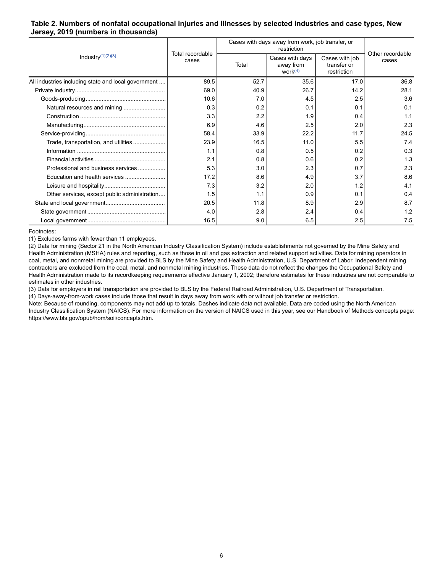#### <span id="page-5-0"></span>**Table 2. Numbers of nonfatal occupational injuries and illnesses by selected industries and case types, New Jersey, 2019 (numbers in thousands)**

| Industry $(1)(2)(3)$                                | Total recordable | Cases with days away from work, job transfer, or | Other recordable                           |                                              |       |
|-----------------------------------------------------|------------------|--------------------------------------------------|--------------------------------------------|----------------------------------------------|-------|
|                                                     | cases            | Total                                            | Cases with days<br>away from<br>work $(4)$ | Cases with job<br>transfer or<br>restriction | cases |
| All industries including state and local government | 89.5             | 52.7                                             | 35.6                                       | 17.0                                         | 36.8  |
|                                                     | 69.0             | 40.9                                             | 26.7                                       | 14.2                                         | 28.1  |
|                                                     | 10.6             | 7.0                                              | 4.5                                        | 2.5                                          | 3.6   |
| Natural resources and mining                        | 0.3              | 0.2                                              | 0.1                                        | 0.1                                          | 0.1   |
|                                                     | 3.3              | 2.2                                              | 1.9                                        | 0.4                                          | 1.1   |
|                                                     | 6.9              | 4.6                                              | 2.5                                        | 2.0                                          | 2.3   |
|                                                     | 58.4             | 33.9                                             | 22.2                                       | 11.7                                         | 24.5  |
| Trade, transportation, and utilities                | 23.9             | 16.5                                             | 11.0                                       | 5.5                                          | 7.4   |
|                                                     | 1.1              | 0.8                                              | 0.5                                        | 0.2                                          | 0.3   |
|                                                     | 2.1              | 0.8                                              | 0.6                                        | 0.2                                          | 1.3   |
| Professional and business services                  | 5.3              | 3.0                                              | 2.3                                        | 0.7                                          | 2.3   |
|                                                     | 17.2             | 8.6                                              | 4.9                                        | 3.7                                          | 8.6   |
|                                                     | 7.3              | 3.2                                              | 2.0                                        | 1.2                                          | 4.1   |
| Other services, except public administration        | 1.5              | 1.1                                              | 0.9                                        | 0.1                                          | 0.4   |
|                                                     | 20.5             | 11.8                                             | 8.9                                        | 2.9                                          | 8.7   |
|                                                     | 4.0              | 2.8                                              | 2.4                                        | 0.4                                          | 1.2   |
|                                                     | 16.5             | 9.0                                              | 6.5                                        | 2.5                                          | 7.5   |

<span id="page-5-1"></span>Footnotes:

(1) Excludes farms with fewer than 11 employees.

(2) Data for mining (Sector 21 in the North American Industry Classification System) include establishments not governed by the Mine Safety and Health Administration (MSHA) rules and reporting, such as those in oil and gas extraction and related support activities. Data for mining operators in coal, metal, and nonmetal mining are provided to BLS by the Mine Safety and Health Administration, U.S. Department of Labor. Independent mining contractors are excluded from the coal, metal, and nonmetal mining industries. These data do not reflect the changes the Occupational Safety and Health Administration made to its recordkeeping requirements effective January 1, 2002; therefore estimates for these industries are not comparable to estimates in other industries.

(3) Data for employers in rail transportation are provided to BLS by the Federal Railroad Administration, U.S. Department of Transportation.

(4) Days-away-from-work cases include those that result in days away from work with or without job transfer or restriction.

Note: Because of rounding, components may not add up to totals. Dashes indicate data not available. Data are coded using the North American Industry Classification System (NAICS). For more information on the version of NAICS used in this year, see our Handbook of Methods concepts page: https://www.bls.gov/opub/hom/soii/concepts.htm.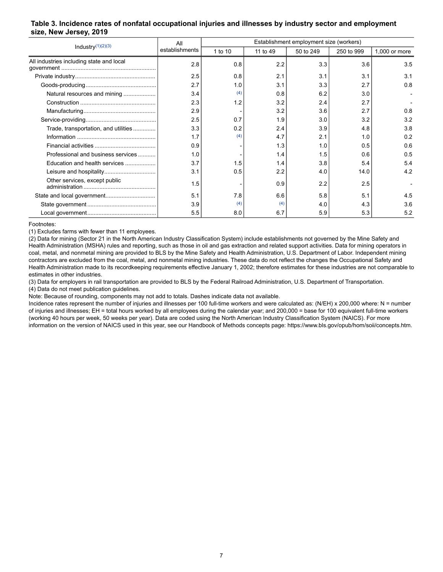#### <span id="page-6-0"></span>**Table 3. Incidence rates of nonfatal occupational injuries and illnesses by industry sector and employment size, New Jersey, 2019**

| Industry $(1)(2)(3)$                     | All            | Establishment employment size (workers) |          |           |            |               |
|------------------------------------------|----------------|-----------------------------------------|----------|-----------|------------|---------------|
|                                          | establishments | 1 to 10                                 | 11 to 49 | 50 to 249 | 250 to 999 | 1,000 or more |
| All industries including state and local | 2.8            | 0.8                                     | 2.2      | 3.3       | 3.6        | 3.5           |
|                                          | 2.5            | 0.8                                     | 2.1      | 3.1       | 3.1        | 3.1           |
|                                          | 2.7            | 1.0                                     | 3.1      | 3.3       | 2.7        | 0.8           |
| Natural resources and mining             | 3.4            | (4)                                     | 0.8      | 6.2       | 3.0        |               |
|                                          | 2.3            | 1.2                                     | 3.2      | 2.4       | 2.7        |               |
|                                          | 2.9            |                                         | 3.2      | 3.6       | 2.7        | 0.8           |
|                                          | 2.5            | 0.7                                     | 1.9      | 3.0       | 3.2        | 3.2           |
| Trade, transportation, and utilities     | 3.3            | 0.2                                     | 2.4      | 3.9       | 4.8        | 3.8           |
|                                          | 1.7            | (4)                                     | 4.7      | 2.1       | 1.0        | 0.2           |
|                                          | 0.9            |                                         | 1.3      | 1.0       | 0.5        | 0.6           |
| Professional and business services       | 1.0            |                                         | 1.4      | 1.5       | 0.6        | 0.5           |
| Education and health services            | 3.7            | 1.5                                     | 1.4      | 3.8       | 5.4        | 5.4           |
|                                          | 3.1            | 0.5                                     | 2.2      | 4.0       | 14.0       | 4.2           |
| Other services, except public            | 1.5            |                                         | 0.9      | 2.2       | 2.5        |               |
| State and local government               | 5.1            | 7.8                                     | 6.6      | 5.8       | 5.1        | 4.5           |
|                                          | 3.9            | (4)                                     | (4)      | 4.0       | 4.3        | 3.6           |
|                                          | 5.5            | 8.0                                     | 6.7      | 5.9       | 5.3        | 5.2           |

#### <span id="page-6-1"></span>Footnotes:

(1) Excludes farms with fewer than 11 employees.

(2) Data for mining (Sector 21 in the North American Industry Classification System) include establishments not governed by the Mine Safety and Health Administration (MSHA) rules and reporting, such as those in oil and gas extraction and related support activities. Data for mining operators in coal, metal, and nonmetal mining are provided to BLS by the Mine Safety and Health Administration, U.S. Department of Labor. Independent mining contractors are excluded from the coal, metal, and nonmetal mining industries. These data do not reflect the changes the Occupational Safety and Health Administration made to its recordkeeping requirements effective January 1, 2002; therefore estimates for these industries are not comparable to estimates in other industries.

(3) Data for employers in rail transportation are provided to BLS by the Federal Railroad Administration, U.S. Department of Transportation.

(4) Data do not meet publication guidelines.

Note: Because of rounding, components may not add to totals. Dashes indicate data not available.

Incidence rates represent the number of injuries and illnesses per 100 full-time workers and were calculated as: (N/EH) x 200,000 where: N = number of injuries and illnesses; EH = total hours worked by all employees during the calendar year; and 200,000 = base for 100 equivalent full-time workers (working 40 hours per week, 50 weeks per year). Data are coded using the North American Industry Classification System (NAICS). For more information on the version of NAICS used in this year, see our Handbook of Methods concepts page: https://www.bls.gov/opub/hom/soii/concepts.htm.